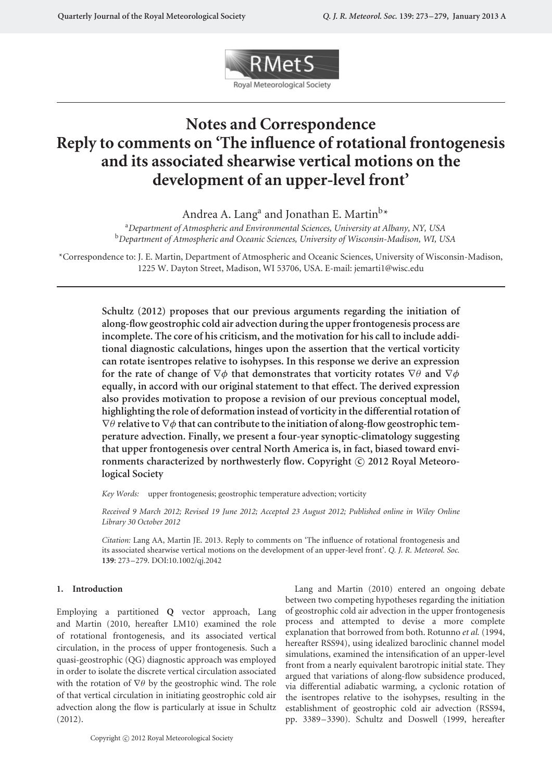

# **Notes and Correspondence Reply to comments on 'The influence of rotational frontogenesis and its associated shearwise vertical motions on the development of an upper-level front'**

Andrea A. Lang<sup>a</sup> and Jonathan E. Martin<sup>b\*</sup>

<sup>a</sup>*Department of Atmospheric and Environmental Sciences, University at Albany, NY, USA* <sup>b</sup>*Department of Atmospheric and Oceanic Sciences, University of Wisconsin-Madison, WI, USA*

\*Correspondence to: J. E. Martin, Department of Atmospheric and Oceanic Sciences, University of Wisconsin-Madison, 1225 W. Dayton Street, Madison, WI 53706, USA. E-mail: jemarti1@wisc.edu

**Schultz (2012) proposes that our previous arguments regarding the initiation of along-flow geostrophic cold air advection during the upper frontogenesis process are incomplete. The core of his criticism, and the motivation for his call to include additional diagnostic calculations, hinges upon the assertion that the vertical vorticity can rotate isentropes relative to isohypses. In this response we derive an expression for the rate of change of** ∇*φ* **that demonstrates that vorticity rotates** ∇*θ* **and** ∇*φ* **equally, in accord with our original statement to that effect. The derived expression also provides motivation to propose a revision of our previous conceptual model, highlighting the role of deformation instead of vorticity in the differential rotation of** ∇*θ* **relative to** ∇*φ* **that can contribute to the initiation of along-flow geostrophic temperature advection. Finally, we present a four-year synoptic-climatology suggesting that upper frontogenesis over central North America is, in fact, biased toward envi**ronments characterized by northwesterly flow. Copyright  $\odot$  2012 Royal Meteoro**logical Society**

*Key Words:* upper frontogenesis; geostrophic temperature advection; vorticity

*Received 9 March 2012; Revised 19 June 2012; Accepted 23 August 2012; Published online in Wiley Online Library 30 October 2012*

*Citation:* Lang AA, Martin JE. 2013. Reply to comments on 'The influence of rotational frontogenesis and its associated shearwise vertical motions on the development of an upper-level front'. *Q. J. R. Meteorol. Soc.* **139**: 273–279. DOI:10.1002/qj.2042

## **1. Introduction**

Employing a partitioned **Q** vector approach, Lang and Martin (2010, hereafter LM10) examined the role of rotational frontogenesis, and its associated vertical circulation, in the process of upper frontogenesis. Such a quasi-geostrophic (QG) diagnostic approach was employed in order to isolate the discrete vertical circulation associated with the rotation of ∇*θ* by the geostrophic wind. The role of that vertical circulation in initiating geostrophic cold air advection along the flow is particularly at issue in Schultz (2012).

between two competing hypotheses regarding the initiation of geostrophic cold air advection in the upper frontogenesis process and attempted to devise a more complete explanation that borrowed from both. Rotunno *et al.* (1994, hereafter RSS94), using idealized baroclinic channel model simulations, examined the intensification of an upper-level front from a nearly equivalent barotropic initial state. They argued that variations of along-flow subsidence produced, via differential adiabatic warming, a cyclonic rotation of the isentropes relative to the isohypses, resulting in the establishment of geostrophic cold air advection (RSS94, pp. 3389–3390). Schultz and Doswell (1999, hereafter

Lang and Martin (2010) entered an ongoing debate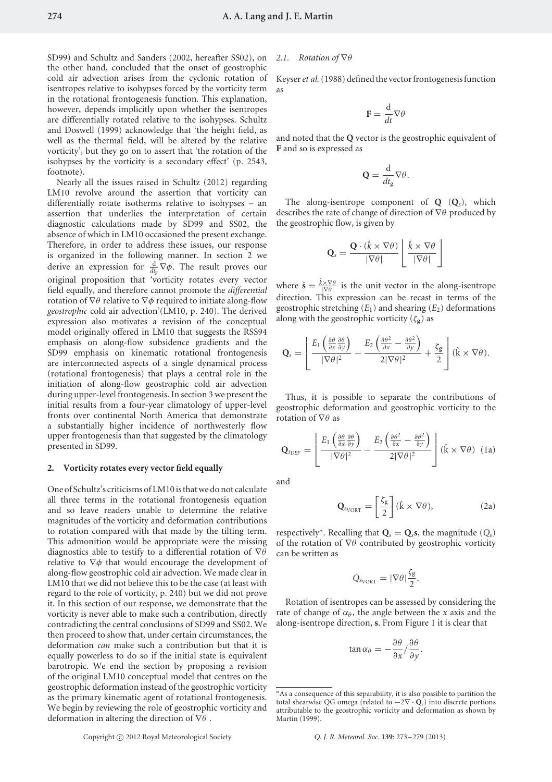SD99) and Schultz and Sanders (2002, hereafter SS02), on *2.1. Rotation of* ∇*θ* the other hand, concluded that the onset of geostrophic cold air advection arises from the cyclonic rotation of isentropes relative to isohypses forced by the vorticity term in the rotational frontogenesis function. This explanation, however, depends implicitly upon whether the isentropes are differentially rotated relative to the isohypses. Schultz and Doswell (1999) acknowledge that 'the height field, as well as the thermal field, will be altered by the relative vorticity', but they go on to assert that 'the rotation of the isohypses by the vorticity is a secondary effect' (p. 2543, footnote).

Nearly all the issues raised in Schultz (2012) regarding LM10 revolve around the assertion that vorticity can differentially rotate isotherms relative to isohypses – an assertion that underlies the interpretation of certain diagnostic calculations made by SD99 and SS02, the absence of which in LM10 occasioned the present exchange. Therefore, in order to address these issues, our response is organized in the following manner. In section 2 we derive an expression for  $\frac{d}{dt_g}\nabla\phi$ . The result proves our original proposition that 'vorticity rotates every vector field equally, and therefore cannot promote the *differential* rotation of ∇*θ* relative to ∇*φ* required to initiate along-flow *geostrophic* cold air advection'(LM10, p. 240). The derived expression also motivates a revision of the conceptual model originally offered in LM10 that suggests the RSS94 emphasis on along-flow subsidence gradients and the SD99 emphasis on kinematic rotational frontogenesis are interconnected aspects of a single dynamical process (rotational frontogenesis) that plays a central role in the initiation of along-flow geostrophic cold air advection during upper-level frontogenesis. In section 3 we present the initial results from a four-year climatology of upper-level fronts over continental North America that demonstrate a substantially higher incidence of northwesterly flow upper frontogenesis than that suggested by the climatology presented in SD99.

#### **2. Vorticity rotates every vector field equally**

One of Schultz's criticisms of LM10 is that we do not calculate all three terms in the rotational frontogenesis equation and so leave readers unable to determine the relative magnitudes of the vorticity and deformation contributions to rotation compared with that made by the tilting term. This admonition would be appropriate were the missing diagnostics able to testify to a differential rotation of ∇*θ* relative to ∇*φ* that would encourage the development of along-flow geostrophic cold air advection. We made clear in LM10 that we did not believe this to be the case (at least with regard to the role of vorticity, p. 240) but we did not prove it. In this section of our response, we demonstrate that the vorticity is never able to make such a contribution, directly contradicting the central conclusions of SD99 and SS02. We then proceed to show that, under certain circumstances, the deformation *can* make such a contribution but that it is equally powerless to do so if the initial state is equivalent barotropic. We end the section by proposing a revision of the original LM10 conceptual model that centres on the geostrophic deformation instead of the geostrophic vorticity as the primary kinematic agent of rotational frontogenesis. We begin by reviewing the role of geostrophic vorticity and deformation in altering the direction of ∇*θ* .

Keyser*et al.*(1988) defined the vector frontogenesis function as

$$
\mathbf{F} = \frac{\mathrm{d}}{dt} \nabla \theta
$$

and noted that the **Q** vector is the geostrophic equivalent of **F** and so is expressed as

$$
\mathbf{Q} = \frac{\mathrm{d}}{dt_{\mathrm{g}}} \nabla \theta.
$$

The along-isentrope component of **Q** (**Q***s*), which describes the rate of change of direction of ∇*θ* produced by the geostrophic flow, is given by

$$
\mathbf{Q}_s = \frac{\mathbf{Q} \cdot (\hat{k} \times \nabla \theta)}{|\nabla \theta|} \left[ \frac{\hat{k} \times \nabla \theta}{|\nabla \theta|} \right]
$$

where  $\hat{\mathbf{s}} = \frac{\hat{k} \times \nabla \theta}{\nabla \theta}$  is the unit vector in the along-isentrope direction. This expression can be recast in terms of the geostrophic stretching  $(E_1)$  and shearing  $(E_2)$  deformations along with the geostrophic vorticity ( $\zeta_{g}$ ) as

$$
\mathbf{Q}_s = \left[ \frac{E_1 \left( \frac{\partial \theta}{\partial x} \frac{\partial \theta}{\partial y} \right)}{|\nabla \theta|^2} - \frac{E_2 \left( \frac{\partial \theta^2}{\partial x} - \frac{\partial \theta^2}{\partial y} \right)}{2|\nabla \theta|^2} + \frac{\zeta_{\mathbf{g}}}{2} \right] (\hat{\mathbf{k}} \times \nabla \theta).
$$

Thus, it is possible to separate the contributions of geostrophic deformation and geostrophic vorticity to the rotation of ∇*θ* as

$$
\mathbf{Q}_{SDEF} = \left[ \frac{E_1 \left( \frac{\partial \theta}{\partial x} \frac{\partial \theta}{\partial y} \right)}{|\nabla \theta|^2} - \frac{E_2 \left( \frac{\partial \theta^2}{\partial x} - \frac{\partial \theta^2}{\partial y} \right)}{2|\nabla \theta|^2} \right] (\hat{\mathbf{k}} \times \nabla \theta) \tag{1a}
$$

and

$$
\mathbf{Q}_{\text{svORT}} = \left[\frac{\zeta_{\text{g}}}{2}\right] (\hat{\mathbf{k}} \times \nabla \theta), \tag{2a}
$$

respectively<sup>∗</sup>. Recalling that  $\mathbf{Q}_s = \mathbf{Q}_s$ **s**, the magnitude  $(Q_s)$ of the rotation of ∇*θ* contributed by geostrophic vorticity can be written as

$$
Q_{s_{VORT}} = |\nabla \theta| \frac{\zeta_g}{2}.
$$

Rotation of isentropes can be assessed by considering the rate of change of  $\alpha_{\theta}$ , the angle between the *x* axis and the along-isentrope direction, **s**. From Figure 1 it is clear that

$$
\tan \alpha_{\theta} = -\frac{\partial \theta}{\partial x} / \frac{\partial \theta}{\partial y}.
$$

<sup>∗</sup>As a consequence of this separability, it is also possible to partition the total shearwise QG omega (related to −2∇ · **Q***s*) into discrete portions attributable to the geostrophic vorticity and deformation as shown by Martin (1999).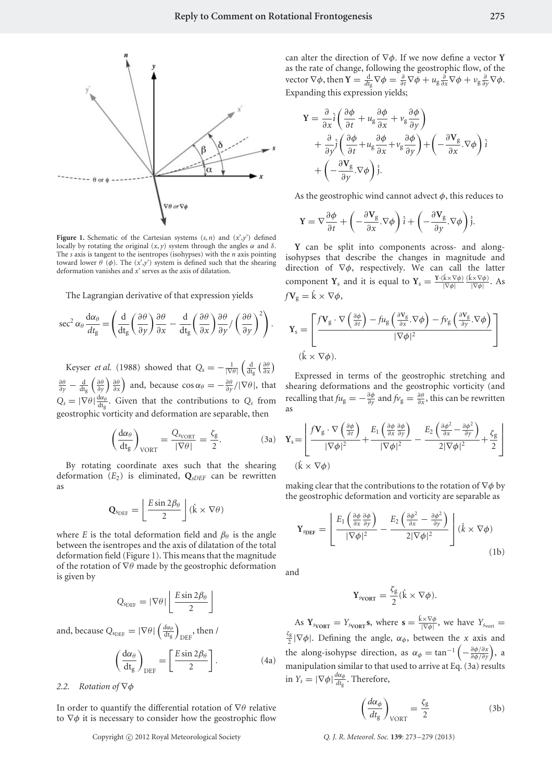

**Figure 1.** Schematic of the Cartesian systems  $(s, n)$  and  $(x', y')$  defined locally by rotating the original (*x*, *y*) system through the angles *α* and *δ*. The *s* axis is tangent to the isentropes (isohypses) with the *n* axis pointing toward lower *θ* ( $φ$ ). The  $(x', y')$  system is defined such that the shearing deformation vanishes and *x*' serves as the axis of dilatation.

The Lagrangian derivative of that expression yields

$$
\sec^2 \alpha_\theta \frac{d\alpha_\theta}{dt_g} = \left( \frac{d}{dt_g} \left( \frac{\partial \theta}{\partial y} \right) \frac{\partial \theta}{\partial x} - \frac{d}{dt_g} \left( \frac{\partial \theta}{\partial x} \right) \frac{\partial \theta}{\partial y} / \left( \frac{\partial \theta}{\partial y} \right)^2 \right).
$$

Keyser *et al.* (1988) showed that  $Q_s = -\frac{1}{|\nabla \theta|}$  $\left(\frac{d}{dt_g}\left(\frac{\partial\theta}{\partial x}\right)\right)$  $\frac{\partial \theta}{\partial y} - \frac{d}{dt_g} \left( \frac{\partial \theta}{\partial y} \right) \frac{\partial \theta}{\partial x}$  and, because  $\cos \alpha_\theta = -\frac{\partial \theta}{\partial y} / |\nabla \theta|$ , that  $Q_s = |\nabla \theta| \frac{d\alpha_\theta}{dt_g}$ . Given that the contributions to  $Q_s$  from geostrophic vorticity and deformation are separable, then

$$
\left(\frac{d\alpha_{\theta}}{dt_{g}}\right)_{VORT} = \frac{Q_{SVORT}}{|\nabla \theta|} = \frac{\zeta_{g}}{2}.
$$
 (3a)

By rotating coordinate axes such that the shearing deformation  $(E_2)$  is eliminated,  $Q_{sDEF}$  can be rewritten as

$$
\mathbf{Q}_{\text{sDEF}} = \left[ \frac{E \sin 2\beta_{\theta}}{2} \right] (\hat{k} \times \nabla \theta)
$$

where *E* is the total deformation field and  $\beta_{\theta}$  is the angle between the isentropes and the axis of dilatation of the total deformation field (Figure 1). This means that the magnitude of the rotation of ∇*θ* made by the geostrophic deformation is given by

$$
Q_{\text{SDEF}} = |\nabla \theta| \left[ \frac{E \sin 2\beta_{\theta}}{2} \right]
$$

and, because  $Q_{\text{sDEF}} = |\nabla \theta| \left( \frac{d\alpha_{\theta}}{dt_{\text{g}}} \right)$  $_{\rm DEF}$ , then /

$$
\left(\frac{d\alpha_{\theta}}{dt_{g}}\right)_{DEF} = \left[\frac{E\sin 2\beta_{\theta}}{2}\right].
$$
 (4a)

### *2.2. Rotation of* ∇*φ*

In order to quantify the differential rotation of ∇*θ* relative to ∇*φ* it is necessary to consider how the geostrophic flow

can alter the direction of ∇*φ*. If we now define a vector **Y** as the rate of change, following the geostrophic flow, of the vector  $\nabla \phi$ , then  $\mathbf{Y} = \frac{d}{dt_g} \nabla \phi = \frac{\partial}{\partial t} \nabla \phi + u_g \frac{\partial}{\partial x} \nabla \phi + v_g \frac{\partial}{\partial y} \nabla \phi$ . Expanding this expression yields;

$$
\mathbf{Y} = \frac{\partial}{\partial x}\hat{i}\left(\frac{\partial\phi}{\partial t} + u_g\frac{\partial\phi}{\partial x} + v_g\frac{\partial\phi}{\partial y}\right) \n+ \frac{\partial}{\partial y}\hat{j}\left(\frac{\partial\phi}{\partial t} + u_g\frac{\partial\phi}{\partial x} + v_g\frac{\partial\phi}{\partial y}\right) + \left(-\frac{\partial\mathbf{V}_g}{\partial x}\cdot\nabla\phi\right)\hat{i} \n+ \left(-\frac{\partial\mathbf{V}_g}{\partial y}\cdot\nabla\phi\right)\hat{j}.
$$

As the geostrophic wind cannot advect *φ*, this reduces to

$$
\mathbf{Y} = \nabla \frac{\partial \phi}{\partial t} + \left( -\frac{\partial \mathbf{V}_g}{\partial x} . \nabla \phi \right) \hat{i} + \left( -\frac{\partial \mathbf{V}_g}{\partial y} . \nabla \phi \right) \hat{j}.
$$

**Y** can be split into components across- and alongisohypses that describe the changes in magnitude and direction of ∇*φ*, respectively. We can call the latter component **Y**<sub>s</sub> and it is equal to  $Y_s = \frac{Y \cdot (k \times \nabla \phi)}{|\nabla \phi|}$ |∇*φ*| (ˆ k×∇*φ*) |∇*φ*<sup>|</sup> . As  $fV_g = \hat{k} \times \nabla \phi$ ,

$$
\mathbf{Y}_{s} = \left[ \frac{f \mathbf{V}_{g} \cdot \nabla \left( \frac{\partial \phi}{\partial t} \right) - f u_{g} \left( \frac{\partial \mathbf{V}_{g}}{\partial x} \cdot \nabla \phi \right) - f v_{g} \left( \frac{\partial \mathbf{V}_{g}}{\partial y} \cdot \nabla \phi \right)}{|\nabla \phi|^{2}} \right]
$$
  
( $\hat{\mathbf{k}} \times \nabla \phi$ ).

Expressed in terms of the geostrophic stretching and shearing deformations and the geostrophic vorticity (and recalling that  $f u_{\rm g} = -\frac{\partial \phi}{\partial y}$  and  $f v_{\rm g} = \frac{\partial \theta}{\partial x}$ , this can be rewritten as

$$
\mathbf{Y}_{s} = \left[ \frac{f \mathbf{V}_{g} \cdot \nabla \left( \frac{\partial \phi}{\partial t} \right)}{|\nabla \phi|^{2}} + \frac{E_{1} \left( \frac{\partial \phi}{\partial x} \frac{\partial \phi}{\partial y} \right)}{|\nabla \phi|^{2}} - \frac{E_{2} \left( \frac{\partial \phi^{2}}{\partial x} - \frac{\partial \phi^{2}}{\partial y} \right)}{2|\nabla \phi|^{2}} + \frac{\zeta_{g}}{2} \right]
$$
\n
$$
(\hat{\mathbf{k}} \times \nabla \phi)
$$

making clear that the contributions to the rotation of ∇*φ* by the geostrophic deformation and vorticity are separable as

$$
\mathbf{Y}_{\text{SDEF}} = \left[ \frac{E_1 \left( \frac{\partial \phi}{\partial x} \frac{\partial \phi}{\partial y} \right)}{|\nabla \phi|^2} - \frac{E_2 \left( \frac{\partial \phi^2}{\partial x} - \frac{\partial \phi^2}{\partial y} \right)}{2|\nabla \phi|^2} \right] (\hat{k} \times \nabla \phi) \tag{1b}
$$

and

$$
\mathbf{Y}_{\text{svORT}} = \frac{\zeta_{\text{g}}}{2} (\hat{\mathbf{k}} \times \nabla \phi).
$$

As  $Y_{\text{svORT}} = Y_{\text{svORT}} s$ , where  $s = \frac{\hat{k} \times \nabla \phi}{|\nabla \phi|}$ , we have  $Y_{\text{svort}} =$  $\frac{\zeta_{\rm g}}{2}$ | $\nabla \phi$ |. Defining the angle, *α*<sub>φ</sub>, between the *x* axis and the along-isohypse direction, as  $\alpha_{\phi} = \tan^{-1}\left(-\frac{\partial \phi/\partial x}{\partial \phi/\partial y}\right)$ , a manipulation similar to that used to arrive at Eq. (3a) results in  $Y_s = |\nabla \phi| \frac{d\alpha_{\phi}}{dt_g}$ . Therefore,

$$
\left(\frac{d\alpha_{\phi}}{dt_{g}}\right)_{\text{VORT}} = \frac{\zeta_{g}}{2}
$$
 (3b)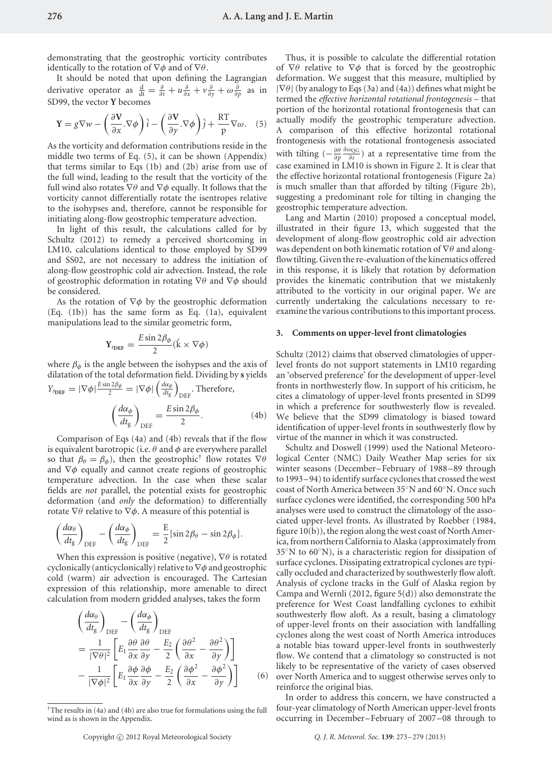demonstrating that the geostrophic vorticity contributes identically to the rotation of ∇*φ* and of ∇*θ*.

It should be noted that upon defining the Lagrangian derivative operator as  $\frac{d}{dt} = \frac{\partial}{\partial t} + u \frac{\partial}{\partial x} + v \frac{\partial}{\partial y} + \omega \frac{\partial}{\partial p}$  as in SD99, the vector **Y** becomes

$$
\mathbf{Y} = g \nabla w - \left(\frac{\partial \mathbf{V}}{\partial x} \cdot \nabla \phi\right) \hat{i} - \left(\frac{\partial \mathbf{V}}{\partial y} \cdot \nabla \phi\right) \hat{j} + \frac{\mathrm{RT}}{\mathrm{p}} \nabla \omega. \quad (5)
$$

As the vorticity and deformation contributions reside in the middle two terms of Eq. (5), it can be shown (Appendix) that terms similar to Eqs (1b) and (2b) arise from use of the full wind, leading to the result that the vorticity of the full wind also rotates ∇*θ* and ∇*φ* equally. It follows that the vorticity cannot differentially rotate the isentropes relative to the isohypses and, therefore, cannot be responsible for initiating along-flow geostrophic temperature advection.

In light of this result, the calculations called for by Schultz (2012) to remedy a perceived shortcoming in LM10, calculations identical to those employed by SD99 and SS02, are not necessary to address the initiation of along-flow geostrophic cold air advection. Instead, the role of geostrophic deformation in rotating ∇*θ* and ∇*φ* should be considered.

As the rotation of ∇*φ* by the geostrophic deformation (Eq. (1b)) has the same form as Eq. (1a), equivalent manipulations lead to the similar geometric form,

$$
\mathbf{Y}_{\text{sDEF}} = \frac{E \sin 2\beta_{\phi}}{2} (\hat{\mathbf{k}} \times \nabla \phi)
$$

where  $\beta_\phi$  is the angle between the isohypses and the axis of dilatation of the total deformation field. Dividing by **s** yields  $Y_{\text{sDEF}} = |\nabla \phi| \frac{E \sin 2\beta_{\phi}}{2} = |\nabla \phi| \left( \frac{d\alpha_{\phi}}{dt_{\text{g}}} \right)$ DEF . Therefore,

$$
\left(\frac{d\alpha_{\phi}}{dt_{g}}\right)_{\text{DEF}} = \frac{E\sin 2\beta_{\phi}}{2}.
$$
 (4b)

Comparison of Eqs (4a) and (4b) reveals that if the flow is equivalent barotropic (i.e. *θ* and *φ* are everywhere parallel so that  $\beta_{\theta} = \beta_{\phi}$ ), then the geostrophic<sup>†</sup> flow rotates  $\nabla \theta$ and ∇*φ* equally and cannot create regions of geostrophic temperature advection. In the case when these scalar fields are *not* parallel, the potential exists for geostrophic deformation (and *only* the deformation) to differentially rotate ∇*θ* relative to ∇*φ*. A measure of this potential is

$$
\left(\frac{d\alpha_{\theta}}{dt_{g}}\right)_{\text{DEF}} - \left(\frac{d\alpha_{\phi}}{dt_{g}}\right)_{\text{DEF}} = \frac{E}{2}[\sin 2\beta_{\theta} - \sin 2\beta_{\phi}].
$$

When this expression is positive (negative), ∇*θ* is rotated cyclonically (anticyclonically) relative to∇*φ* and geostrophic cold (warm) air advection is encouraged. The Cartesian expression of this relationship, more amenable to direct calculation from modern gridded analyses, takes the form

$$
\left(\frac{d\alpha_{\theta}}{dt_{g}}\right)_{\text{DEF}} - \left(\frac{d\alpha_{\phi}}{dt_{g}}\right)_{\text{DEF}}
$$
\n
$$
= \frac{1}{|\nabla\theta|^{2}} \left[ E_{1} \frac{\partial \theta}{\partial x} \frac{\partial \theta}{\partial y} - \frac{E_{2}}{2} \left( \frac{\partial \theta^{2}}{\partial x} - \frac{\partial \theta^{2}}{\partial y} \right) \right]
$$
\n
$$
- \frac{1}{|\nabla\phi|^{2}} \left[ E_{1} \frac{\partial \phi}{\partial x} \frac{\partial \phi}{\partial y} - \frac{E_{2}}{2} \left( \frac{\partial \phi^{2}}{\partial x} - \frac{\partial \phi^{2}}{\partial y} \right) \right] \tag{6}
$$

Copyright (C) 2012 Royal Meteorological Society

Thus, it is possible to calculate the differential rotation of ∇*θ* relative to ∇*φ* that is forced by the geostrophic deformation. We suggest that this measure, multiplied by |∇*θ*|(by analogy to Eqs (3a) and (4a)) defines what might be termed the *effective horizontal rotational frontogenesis* – that portion of the horizontal rotational frontogenesis that can actually modify the geostrophic temperature advection. A comparison of this effective horizontal rotational frontogenesis with the rotational frontogenesis associated with tilting  $\left(-\frac{\partial \theta}{\partial p} \frac{\partial \omega_{\text{QG}}}{\partial s}\right)$  at a representative time from the case examined in LM10 is shown in Figure 2. It is clear that the effective horizontal rotational frontogenesis (Figure 2a) is much smaller than that afforded by tilting (Figure 2b), suggesting a predominant role for tilting in changing the geostrophic temperature advection.

Lang and Martin (2010) proposed a conceptual model, illustrated in their figure 13, which suggested that the development of along-flow geostrophic cold air advection was dependent on both kinematic rotation of ∇*θ* and alongflow tilting. Given the re-evaluation of the kinematics offered in this response, it is likely that rotation by deformation provides the kinematic contribution that we mistakenly attributed to the vorticity in our original paper. We are currently undertaking the calculations necessary to reexamine the various contributions to this important process.

#### **3. Comments on upper-level front climatologies**

Schultz (2012) claims that observed climatologies of upperlevel fronts do not support statements in LM10 regarding an 'observed preference' for the development of upper-level fronts in northwesterly flow. In support of his criticism, he cites a climatology of upper-level fronts presented in SD99 in which a preference for southwesterly flow is revealed. We believe that the SD99 climatology is biased toward identification of upper-level fronts in southwesterly flow by virtue of the manner in which it was constructed.

Schultz and Doswell (1999) used the National Meteorological Center (NMC) Daily Weather Map series for six winter seasons (December–February of 1988–89 through to 1993–94) to identify surface cyclones that crossed the west coast of North America between 35◦N and 60◦N. Once such surface cyclones were identified, the corresponding 500 hPa analyses were used to construct the climatology of the associated upper-level fronts. As illustrated by Roebber (1984, figure 10(b)), the region along the west coast of North America, from northern California to Alaska (approximately from 35◦N to 60◦N), is a characteristic region for dissipation of surface cyclones. Dissipating extratropical cyclones are typically occluded and characterized by southwesterly flow aloft. Analysis of cyclone tracks in the Gulf of Alaska region by Campa and Wernli (2012, figure 5(d)) also demonstrate the preference for West Coast landfalling cyclones to exhibit southwesterly flow aloft. As a result, basing a climatology of upper-level fronts on their association with landfalling cyclones along the west coast of North America introduces a notable bias toward upper-level fronts in southwesterly flow. We contend that a climatology so constructed is not likely to be representative of the variety of cases observed over North America and to suggest otherwise serves only to reinforce the original bias.

In order to address this concern, we have constructed a four-year climatology of North American upper-level fronts occurring in December–February of 2007–08 through to

<sup>†</sup>The results in (4a) and (4b) are also true for formulations using the full wind as is shown in the Appendix.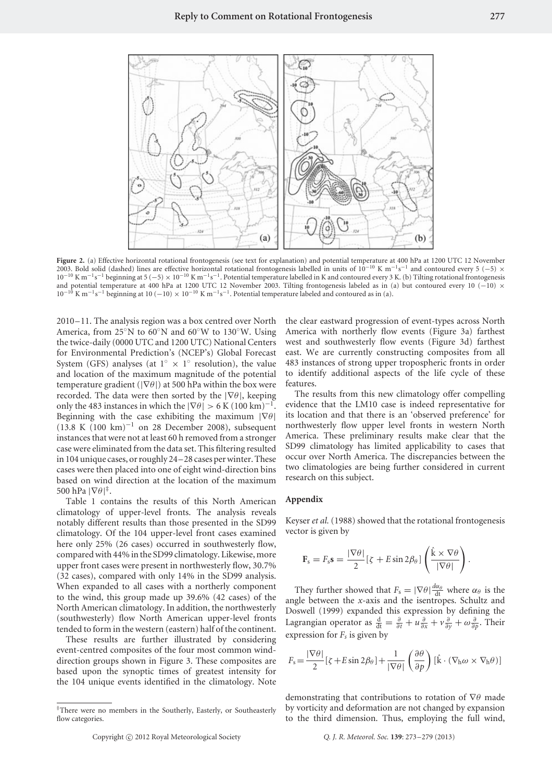

Figure 2. (a) Effective horizontal rotational frontogenesis (see text for explanation) and potential temperature at 400 hPa at 1200 UTC 12 November 2003. Bold solid (dashed) lines are effective horizontal rotational frontogenesis labelled in units of  $10^{-10}$  K m<sup>-1</sup>s<sup>-1</sup> and contoured every 5 (−5) × 10<sup>-10</sup> K m<sup>-1</sup>s<sup>-1</sup> beginning at 5 (−5) × 10<sup>-10</sup> K m<sup>-1</sup>s<sup>-1</sup>. Potential temperature labelled in K and contoured every 3 K. (b) Tilting rotational frontogenesis and potential temperature at 400 hPa at 1200 UTC 12 November 2003. Tilting frontogenesis labeled as in (a) but contoured every 10 (−10) ×  $10^{-10}$  K m<sup>-1</sup>s<sup>-1</sup> beginning at 10 (-10) × 10<sup>-10</sup> K m<sup>-1</sup>s<sup>-1</sup>. Potential temperature labeled and contoured as in (a).

2010–11. The analysis region was a box centred over North America, from 25◦N to 60◦N and 60◦W to 130◦W. Using the twice-daily (0000 UTC and 1200 UTC) National Centers for Environmental Prediction's (NCEP's) Global Forecast System (GFS) analyses (at  $1° \times 1°$  resolution), the value and location of the maximum magnitude of the potential temperature gradient (|∇*θ*|) at 500 hPa within the box were recorded. The data were then sorted by the |∇*θ*|, keeping only the 483 instances in which the  $|\nabla \theta| > 6$  K (100 km)<sup>-1</sup>. Beginning with the case exhibiting the maximum |∇*θ*| (13.8 K (100 km)<sup>-1</sup> on 28 December 2008), subsequent instances that were not at least 60 h removed from a stronger case were eliminated from the data set. This filtering resulted in 104 unique cases, or roughly 24–28 cases per winter. These cases were then placed into one of eight wind-direction bins based on wind direction at the location of the maximum 500 hPa  $|\nabla \theta|^*$ .

Table 1 contains the results of this North American climatology of upper-level fronts. The analysis reveals notably different results than those presented in the SD99 climatology. Of the 104 upper-level front cases examined here only 25% (26 cases) occurred in southwesterly flow, compared with 44% in the SD99 climatology. Likewise, more upper front cases were present in northwesterly flow, 30.7% (32 cases), compared with only 14% in the SD99 analysis. When expanded to all cases with a northerly component to the wind, this group made up 39.6% (42 cases) of the North American climatology. In addition, the northwesterly (southwesterly) flow North American upper-level fronts tended to form in the western (eastern) half of the continent.

These results are further illustrated by considering event-centred composites of the four most common winddirection groups shown in Figure 3. These composites are based upon the synoptic times of greatest intensity for the 104 unique events identified in the climatology. Note the clear eastward progression of event-types across North America with northerly flow events (Figure 3a) farthest west and southwesterly flow events (Figure 3d) farthest east. We are currently constructing composites from all 483 instances of strong upper tropospheric fronts in order to identify additional aspects of the life cycle of these features.

The results from this new climatology offer compelling evidence that the LM10 case is indeed representative for its location and that there is an 'observed preference' for northwesterly flow upper level fronts in western North America. These preliminary results make clear that the SD99 climatology has limited applicability to cases that occur over North America. The discrepancies between the two climatologies are being further considered in current research on this subject.

#### **Appendix**

Keyser *et al.* (1988) showed that the rotational frontogenesis vector is given by

$$
\mathbf{F}_s = F_s \mathbf{s} = \frac{|\nabla \theta|}{2} [\zeta + E \sin 2\beta_\theta] \left( \frac{\hat{\mathbf{k}} \times \nabla \theta}{|\nabla \theta|} \right).
$$

They further showed that  $F_s = |\nabla \theta| \frac{d\alpha_\theta}{dt}$  where  $\alpha_\theta$  is the angle between the *x*-axis and the isentropes. Schultz and Doswell (1999) expanded this expression by defining the Lagrangian operator as  $\frac{d}{dt} = \frac{\partial}{\partial t} + u\frac{\partial}{\partial x} + v\frac{\partial}{\partial y} + \omega\frac{\partial}{\partial p}$ . Their expression for  $F_s$  is given by

$$
F_s = \frac{|\nabla \theta|}{2} [\zeta + E \sin 2\beta_\theta] + \frac{1}{|\nabla \theta|} \left(\frac{\partial \theta}{\partial p}\right) [\hat{\mathbf{k}} \cdot (\nabla_{\mathbf{h}} \omega \times \nabla_{\mathbf{h}} \theta)]
$$

demonstrating that contributions to rotation of ∇*θ* made by vorticity and deformation are not changed by expansion to the third dimension. Thus, employing the full wind,

<sup>‡</sup>There were no members in the Southerly, Easterly, or Southeasterly flow categories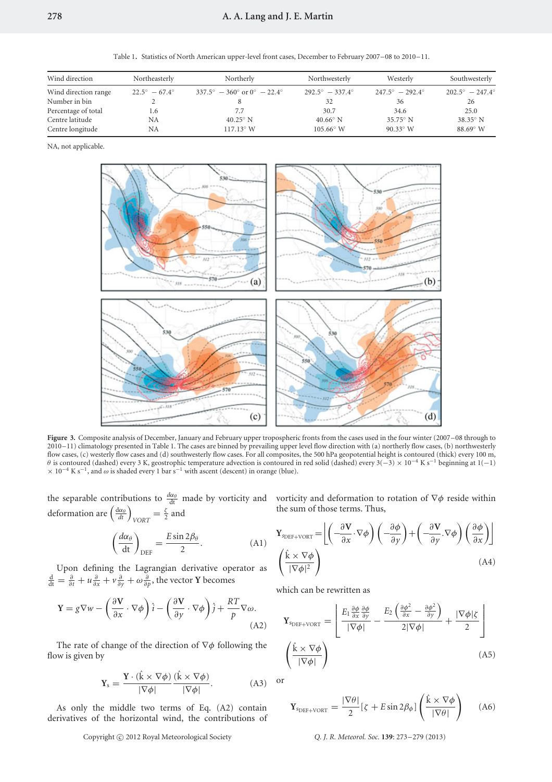Table 1. Statistics of North American upper-level front cases, December to February 2007–08 to 2010–11.

| Wind direction       | Northeasterly                 | Northerly                                                   | Northwesterly                   | Westerly                        | Southwesterly                   |  |
|----------------------|-------------------------------|-------------------------------------------------------------|---------------------------------|---------------------------------|---------------------------------|--|
| Wind direction range | $22.5^{\circ} - 67.4^{\circ}$ | $337.5^{\circ} - 360^{\circ}$ or $0^{\circ} - 22.4^{\circ}$ | $292.5^{\circ} - 337.4^{\circ}$ | $247.5^{\circ} - 292.4^{\circ}$ | $202.5^{\circ} - 247.4^{\circ}$ |  |
| Number in bin        |                               |                                                             | 32                              | 36                              | 26                              |  |
| Percentage of total  | 1.6                           | 7.7                                                         | 30.7                            | 34.6                            | 25.0                            |  |
| Centre latitude      | NA                            | $40.25^\circ$ N                                             | $40.66^{\circ}$ N               | $35.75^\circ$ N                 | $38.35^\circ$ N                 |  |
| Centre longitude     | NA                            | $117.13^{\circ}$ W                                          | $105.66^{\circ}$ W              | $90.33^{\circ}$ W               | $88.69^\circ$ W                 |  |
|                      |                               |                                                             |                                 |                                 |                                 |  |

NA, not applicable.



**Figure 3.** Composite analysis of December, January and February upper tropospheric fronts from the cases used in the four winter (2007–08 through to 2010–11) climatology presented in Table 1. The cases are binned by prevailing upper level flow direction with (a) northerly flow cases, (b) northwesterly flow cases, (c) westerly flow cases and (d) southwesterly flow cases. For all composites, the 500 hPa geopotential height is contoured (thick) every 100 m,  $\theta$  is contoured (dashed) every 3 K, geostrophic temperature adv <sup>×</sup> <sup>10</sup>−<sup>4</sup> K s−1, and *<sup>ω</sup>* is shaded every 1 bar s−<sup>1</sup> with ascent (descent) in orange (blue).

the separable contributions to  $\frac{d\alpha_\theta}{dt}$  made by vorticity and deformation are  $\left(\frac{d\alpha_{\theta}}{dt}\right)_{VORT} = \frac{\zeta}{2}$  and

$$
\left(\frac{d\alpha_{\theta}}{dt}\right)_{\text{DEF}} = \frac{E \sin 2\beta_{\theta}}{2}.
$$
 (A1)

Upon defining the Lagrangian derivative operator as  $\frac{d}{dt} = \frac{\partial}{\partial t} + u \frac{\partial}{\partial x} + v \frac{\partial}{\partial y} + \omega \frac{\partial}{\partial p}$ , the vector **Y** becomes

$$
\mathbf{Y} = g \nabla w - \left(\frac{\partial \mathbf{V}}{\partial x} \cdot \nabla \phi\right) \hat{\imath} - \left(\frac{\partial \mathbf{V}}{\partial y} \cdot \nabla \phi\right) \hat{\jmath} + \frac{RT}{p} \nabla \omega.
$$
\n(A2)

The rate of change of the direction of ∇*φ* following the flow is given by

$$
\mathbf{Y}_s = \frac{\mathbf{Y} \cdot (\hat{\mathbf{k}} \times \nabla \phi)}{|\nabla \phi|} \frac{(\hat{\mathbf{k}} \times \nabla \phi)}{|\nabla \phi|}.
$$
 (A3)

As only the middle two terms of Eq. (A2) contain derivatives of the horizontal wind, the contributions of vorticity and deformation to rotation of ∇*φ* reside within the sum of those terms. Thus,

$$
\mathbf{Y}_{\text{SDEF+VORT}} = \left[ \left( -\frac{\partial \mathbf{V}}{\partial x} \cdot \nabla \phi \right) \left( -\frac{\partial \phi}{\partial y} \right) + \left( -\frac{\partial \mathbf{V}}{\partial y} \cdot \nabla \phi \right) \left( \frac{\partial \phi}{\partial x} \right) \right]
$$
\n
$$
\left( \frac{\hat{\mathbf{k}} \times \nabla \phi}{|\nabla \phi|^2} \right) \tag{A4}
$$

which can be rewritten as

$$
\mathbf{Y}_{\text{SDEF+VORT}} = \begin{bmatrix} E_1 \frac{\partial \phi}{\partial x} \frac{\partial \phi}{\partial y} \\ |\nabla \phi| \end{bmatrix} - \frac{E_2 \left( \frac{\partial \phi^2}{\partial x} - \frac{\partial \phi^2}{\partial y} \right)}{2|\nabla \phi|} + \frac{|\nabla \phi| \zeta}{2} \Bigg]
$$
\n
$$
\left( \frac{\hat{\mathbf{k}} \times \nabla \phi}{|\nabla \phi|} \right)
$$
\n(A5)

or

$$
\mathbf{Y}_{\text{SDEF+VORT}} = \frac{|\nabla \theta|}{2} [\zeta + E \sin 2\beta_{\phi}] \left( \frac{\hat{\mathbf{k}} \times \nabla \phi}{|\nabla \theta|} \right) \tag{A6}
$$